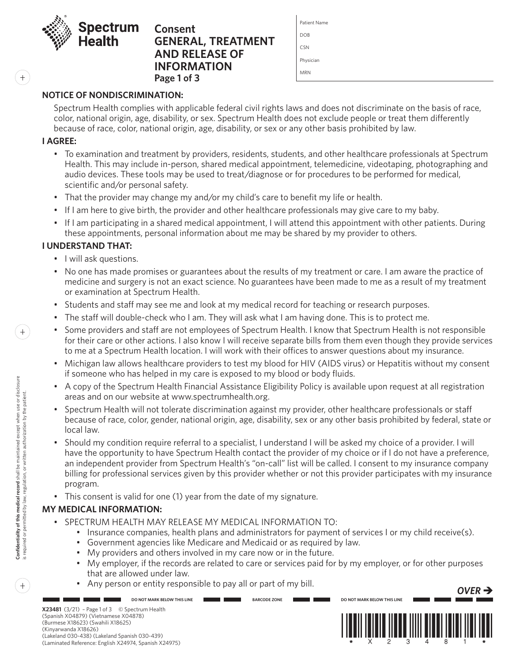

# **Consent GENERAL, TREATMENT AND RELEASE OF INFORMATION Page 1 of 3**

| Patient Name |  |  |
|--------------|--|--|
|              |  |  |
| <b>DOB</b>   |  |  |
| CSN          |  |  |
| Physician    |  |  |
| <b>MRN</b>   |  |  |

# **NOTICE OF NONDISCRIMINATION:**

Spectrum Health complies with applicable federal civil rights laws and does not discriminate on the basis of race, color, national origin, age, disability, or sex. Spectrum Health does not exclude people or treat them differently because of race, color, national origin, age, disability, or sex or any other basis prohibited by law.

## **I AGREE:**

 $\bar{+}$ 

- To examination and treatment by providers, residents, students, and other healthcare professionals at Spectrum Health. This may include in-person, shared medical appointment, telemedicine, videotaping, photographing and audio devices. These tools may be used to treat/diagnose or for procedures to be performed for medical, scientific and/or personal safety.
- That the provider may change my and/or my child's care to benefit my life or health.
- If I am here to give birth, the provider and other healthcare professionals may give care to my baby.
- If I am participating in a shared medical appointment, I will attend this appointment with other patients. During these appointments, personal information about me may be shared by my provider to others.

# **I UNDERSTAND THAT:**

- I will ask questions.
- No one has made promises or guarantees about the results of my treatment or care. I am aware the practice of medicine and surgery is not an exact science. No guarantees have been made to me as a result of my treatment or examination at Spectrum Health.
- Students and staff may see me and look at my medical record for teaching or research purposes.
- The staff will double-check who I am. They will ask what I am having done. This is to protect me.
- Some providers and staff are not employees of Spectrum Health. I know that Spectrum Health is not responsible for their care or other actions. I also know I will receive separate bills from them even though they provide services to me at a Spectrum Health location. I will work with their offices to answer questions about my insurance.
- Michigan law allows healthcare providers to test my blood for HIV (AIDS virus) or Hepatitis without my consent if someone who has helped in my care is exposed to my blood or body fluids.
- A copy of the Spectrum Health Financial Assistance Eligibility Policy is available upon request at all registration areas and on our website at www.spectrumhealth.org.
- Spectrum Health will not tolerate discrimination against my provider, other healthcare professionals or staff because of race, color, gender, national origin, age, disability, sex or any other basis prohibited by federal, state or local law.
- Should my condition require referral to a specialist, I understand I will be asked my choice of a provider. I will have the opportunity to have Spectrum Health contact the provider of my choice or if I do not have a preference, an independent provider from Spectrum Health's "on-call" list will be called. I consent to my insurance company billing for professional services given by this provider whether or not this provider participates with my insurance program.
- This consent is valid for one (1) year from the date of my signature.

# **MY MEDICAL INFORMATION:**

- SPECTRUM HEALTH MAY RELEASE MY MEDICAL INFORMATION TO:
	- Insurance companies, health plans and administrators for payment of services I or my child receive(s).
	- Government agencies like Medicare and Medicaid or as required by law.
	- My providers and others involved in my care now or in the future.
	- My employer, if the records are related to care or services paid for by my employer, or for other purposes that are allowed under law.
	- Any person or entity responsible to pay all or part of my bill.





*OVER* 

 $\,+\,$ 

 $\boldsymbol{+}$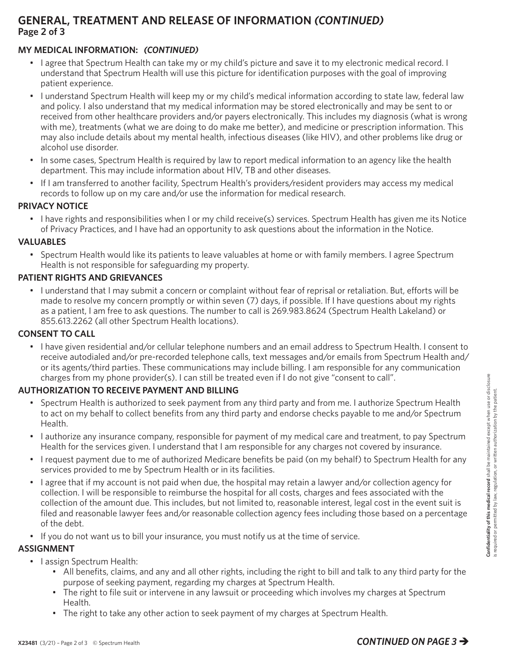# **GENERAL, TREATMENT AND RELEASE OF INFORMATION** *(CONTINUED)* **Page 2 of 3**

# **MY MEDICAL INFORMATION:** *(CONTINUED)*

- I agree that Spectrum Health can take my or my child's picture and save it to my electronic medical record. I understand that Spectrum Health will use this picture for identification purposes with the goal of improving patient experience.
- I understand Spectrum Health will keep my or my child's medical information according to state law, federal law and policy. I also understand that my medical information may be stored electronically and may be sent to or received from other healthcare providers and/or payers electronically. This includes my diagnosis (what is wrong with me), treatments (what we are doing to do make me better), and medicine or prescription information. This may also include details about my mental health, infectious diseases (like HIV), and other problems like drug or alcohol use disorder.
- In some cases, Spectrum Health is required by law to report medical information to an agency like the health department. This may include information about HIV, TB and other diseases.
- If I am transferred to another facility, Spectrum Health's providers/resident providers may access my medical records to follow up on my care and/or use the information for medical research.

### **PRIVACY NOTICE**

• I have rights and responsibilities when I or my child receive(s) services. Spectrum Health has given me its Notice of Privacy Practices, and I have had an opportunity to ask questions about the information in the Notice.

#### **VALUABLES**

• Spectrum Health would like its patients to leave valuables at home or with family members. I agree Spectrum Health is not responsible for safeguarding my property.

### **PATIENT RIGHTS AND GRIEVANCES**

• I understand that I may submit a concern or complaint without fear of reprisal or retaliation. But, efforts will be made to resolve my concern promptly or within seven (7) days, if possible. If I have questions about my rights as a patient, I am free to ask questions. The number to call is 269.983.8624 (Spectrum Health Lakeland) or 855.613.2262 (all other Spectrum Health locations).

## **CONSENT TO CALL**

• I have given residential and/or cellular telephone numbers and an email address to Spectrum Health. I consent to receive autodialed and/or pre-recorded telephone calls, text messages and/or emails from Spectrum Health and/ or its agents/third parties. These communications may include billing. I am responsible for any communication charges from my phone provider(s). I can still be treated even if I do not give "consent to call".

## **AUTHORIZATION TO RECEIVE PAYMENT AND BILLING**

- Spectrum Health is authorized to seek payment from any third party and from me. I authorize Spectrum Health to act on my behalf to collect benefits from any third party and endorse checks payable to me and/or Spectrum Health.
- I authorize any insurance company, responsible for payment of my medical care and treatment, to pay Spectrum Health for the services given. I understand that I am responsible for any charges not covered by insurance.
- I request payment due to me of authorized Medicare benefits be paid (on my behalf) to Spectrum Health for any services provided to me by Spectrum Health or in its facilities.
- I agree that if my account is not paid when due, the hospital may retain a lawyer and/or collection agency for collection. I will be responsible to reimburse the hospital for all costs, charges and fees associated with the collection of the amount due. This includes, but not limited to, reasonable interest, legal cost in the event suit is filed and reasonable lawyer fees and/or reasonable collection agency fees including those based on a percentage of the debt.
- If you do not want us to bill your insurance, you must notify us at the time of service.

## **ASSIGNMENT**

- I assign Spectrum Health:
	- All benefits, claims, and any and all other rights, including the right to bill and talk to any third party for the purpose of seeking payment, regarding my charges at Spectrum Health.
	- The right to file suit or intervene in any lawsuit or proceeding which involves my charges at Spectrum Health.
	- The right to take any other action to seek payment of my charges at Spectrum Health.